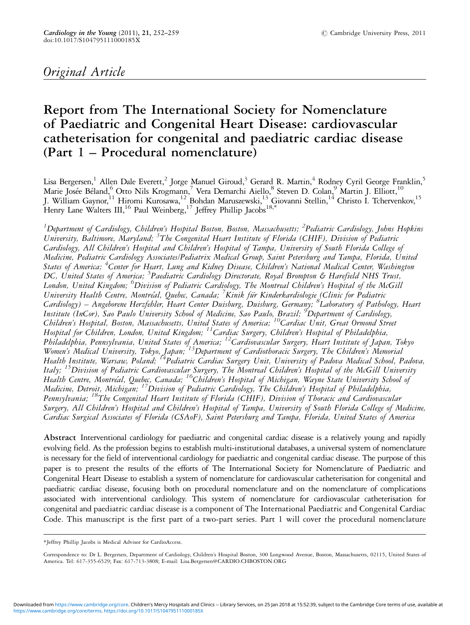# Original Article

# Report from The International Society for Nomenclature of Paediatric and Congenital Heart Disease: cardiovascular catheterisation for congenital and paediatric cardiac disease (Part 1 – Procedural nomenclature)

Lisa Bergersen,<sup>1</sup> Allen Dale Everett,<sup>2</sup> Jorge Manuel Giroud,<sup>3</sup> Gerard R. Martin,<sup>4</sup> Rodney Cyril George Franklin,<sup>5</sup> Marie Josée Béland,<sup>6</sup> Otto Nils Krogmann,<sup>7</sup> Vera Demarchi Aiello,<sup>8</sup> Steven D. Colan,<sup>9</sup> Martin J. Elliott,<sup>10</sup> J. William Gaynor, <sup>11</sup> Hiromi Kurosawa, <sup>12</sup> Bohdan Maruszewski, <sup>13</sup> Giovanni Stellin, <sup>14</sup> Christo I. Tchervenkov, <sup>15</sup> Henry Lane Walters III,  $^{16}$  Paul Weinberg,  $^{17}$  Jeffrey Phillip Jacobs  $^{18,*}$ 

 $^1$ Department of Cardiology, Children's Hospital Boston, Boston, Massachusetts; <sup>2</sup>Pediatric Cardiology, Johns Hopkins University, Baltimore, Maryland; <sup>3</sup>The Congenital Heart Institute of Florida (CHIF), Division of Pediatric Cardiology, All Children's Hospital and Children's Hospital of Tampa, University of South Florida College of Medicine, Pediatric Cardiology Associates/Pediatrix Medical Group, Saint Petersburg and Tampa, Florida, United States of America; <sup>4</sup>Center for Heart, Lung and Kidney Disease, Children's National Medical Center, Washington DC, United States of America; <sup>5</sup>Paediatric Cardiology Directorate, Royal Brompton & Harefield NHS Trust, London, United Kingdom; <sup>6</sup>Division of Pediatric Cardiology, The Montreal Children's Hospital of the McGill University Health Centre, Montréal, Quebec, Canada; <sup>7</sup>Kinik für Kinderkardiologie (Clinic for Pediatric Cardiology) – Angeborene Herzfehler, Heart Center Duisburg, Duisburg, Germany; <sup>8</sup>Laboratory of Pathology, Heart Institute (InCor), Sao Paulo University School of Medicine, Sao Paulo, Brazil; <sup>9</sup> Department of Cardiology, Children's Hospital, Boston, Massachusetts, United States of America; <sup>10</sup>Cardiac Unit, Great Ormond Street Hospital for Children, London, United Kingdom; <sup>11</sup>Cardiac Surgery, Children's Hospital of Philadelphia, Philadelphia, Pennsylvania, United States of America; 12Cardiovascular Surgery, Heart Institute of Japan, Tokyo Women's Medical University, Tokyo, Japan; <sup>13</sup>Department of Cardiothoracic Surgery, The Children's Memorial Health Institute, Warsaw, Poland; 14Pediatric Cardiac Surgery Unit, University of Padova Medical School, Padova, Italy; 15Division of Pediatric Cardiovascular Surgery, The Montreal Children's Hospital of the McGill University Health Centre, Montréal, Quebec, Canada; <sup>16</sup>Children's Hospital of Michigan, Wayne State University School of Medicine, Detroit, Michigan; <sup>17</sup>Division of Pediatric Cardiology, The Children's Hospital of Philadelphia, Pennsylvania; 18The Congenital Heart Institute of Florida (CHIF), Division of Thoracic and Cardiovascular Surgery, All Children's Hospital and Children's Hospital of Tampa, University of South Florida College of Medicine, Cardiac Surgical Associates of Florida (CSAoF), Saint Petersburg and Tampa, Florida, United States of America

Abstract Interventional cardiology for paediatric and congenital cardiac disease is a relatively young and rapidly evolving field. As the profession begins to establish multi-institutional databases, a universal system of nomenclature is necessary for the field of interventional cardiology for paediatric and congenital cardiac disease. The purpose of this paper is to present the results of the efforts of The International Society for Nomenclature of Paediatric and Congenital Heart Disease to establish a system of nomenclature for cardiovascular catheterisation for congenital and paediatric cardiac disease, focusing both on procedural nomenclature and on the nomenclature of complications associated with interventional cardiology. This system of nomenclature for cardiovascular catheterisation for congenital and paediatric cardiac disease is a component of The International Paediatric and Congenital Cardiac Code. This manuscript is the first part of a two-part series. Part 1 will cover the procedural nomenclature

<sup>\*</sup>Jeffrey Phillip Jacobs is Medical Advisor for CardioAccess.

Correspondence to: Dr L. Bergersen, Department of Cardiology, Children's Hospital Boston, 300 Longwood Avenue, Boston, Massachusetts, 02115, United States of America. Tel: 617-355-6529; Fax: 617-713-3808; E-mail: Lisa.Bergersen@CARDIO.CHBOSTON.ORG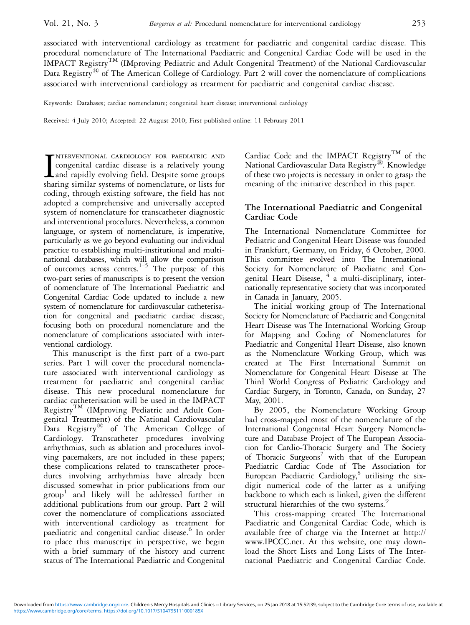associated with interventional cardiology as treatment for paediatric and congenital cardiac disease. This procedural nomenclature of The International Paediatric and Congenital Cardiac Code will be used in the IMPACT Registry<sup>TM</sup> (IMproving Pediatric and Adult Congenital Treatment) of the National Cardiovascular Data Registry<sup>®</sup> of The American College of Cardiology. Part 2 will cover the nomenclature of complications associated with interventional cardiology as treatment for paediatric and congenital cardiac disease.

Keywords: Databases; cardiac nomenclature; congenital heart disease; interventional cardiology

Received: 4 July 2010; Accepted: 22 August 2010; First published online: 11 February 2011

INTERVENTIONAL CARDIOLOGY FOR PAEDIATRIC AND congenital cardiac disease is a relatively young and rapidly evolving field. Despite some groups sharing similar systems of nomenclature, or lists for NTERVENTIONAL CARDIOLOGY FOR PAEDIATRIC AND congenital cardiac disease is a relatively young and rapidly evolving field. Despite some groups coding, through existing software, the field has not adopted a comprehensive and universally accepted system of nomenclature for transcatheter diagnostic and interventional procedures. Nevertheless, a common language, or system of nomenclature, is imperative, particularly as we go beyond evaluating our individual practice to establishing multi-institutional and multinational databases, which will allow the comparison of outcomes across centres. $1-5$  The purpose of this two-part series of manuscripts is to present the version of nomenclature of The International Paediatric and Congenital Cardiac Code updated to include a new system of nomenclature for cardiovascular catheterisation for congenital and paediatric cardiac disease, focusing both on procedural nomenclature and the nomenclature of complications associated with interventional cardiology.

This manuscript is the first part of a two-part series. Part 1 will cover the procedural nomenclature associated with interventional cardiology as treatment for paediatric and congenital cardiac disease. This new procedural nomenclature for cardiac catheterisation will be used in the IMPACT Registry<sup>TM</sup> (IMproving Pediatric and Adult Congenital Treatment) of the National Cardiovascular Data Registry $\bigcirc$  of The American College of Cardiology. Transcatheter procedures involving arrhythmias, such as ablation and procedures involving pacemakers, are not included in these papers; these complications related to transcatheter procedures involving arrhythmias have already been discussed somewhat in prior publications from our group <sup>1</sup> and likely will be addressed further in additional publications from our group. Part 2 will cover the nomenclature of complications associated with interventional cardiology as treatment for paediatric and congenital cardiac disease.<sup>6</sup> In order to place this manuscript in perspective, we begin with a brief summary of the history and current status of The International Paediatric and Congenital

Cardiac Code and the IMPACT Registry<sup>TM</sup> of the National Cardiovascular Data Registry<sup>®</sup>. Knowledge of these two projects is necessary in order to grasp the meaning of the initiative described in this paper.

## The International Paediatric and Congenital Cardiac Code

The International Nomenclature Committee for Pediatric and Congenital Heart Disease was founded in Frankfurt, Germany, on Friday, 6 October, 2000. This committee evolved into The International Society for Nomenclature of Paediatric and Congenital Heart Disease, <sup>4</sup> a multi-disciplinary, internationally representative society that was incorporated in Canada in January, 2005.

The initial working group of The International Society for Nomenclature of Paediatric and Congenital Heart Disease was The International Working Group for Mapping and Coding of Nomenclatures for Paediatric and Congenital Heart Disease, also known as the Nomenclature Working Group, which was created at The First International Summit on Nomenclature for Congenital Heart Disease at The Third World Congress of Pediatric Cardiology and Cardiac Surgery, in Toronto, Canada, on Sunday, 27 May, 2001.

By 2005, the Nomenclature Working Group had cross-mapped most of the nomenclature of the International Congenital Heart Surgery Nomenclature and Database Project of The European Association for Cardio-Thoracic Surgery and The Society of Thoracic  $Surgeons^7$  with that of the European Paediatric Cardiac Code of The Association for European Paediatric Cardiology,<sup>8</sup> utilising the sixdigit numerical code of the latter as a unifying backbone to which each is linked, given the different structural hierarchies of the two systems.<sup>9</sup>

This cross-mapping created The International Paediatric and Congenital Cardiac Code, which is available free of charge via the Internet at http:// www.IPCCC.net. At this website, one may download the Short Lists and Long Lists of The International Paediatric and Congenital Cardiac Code.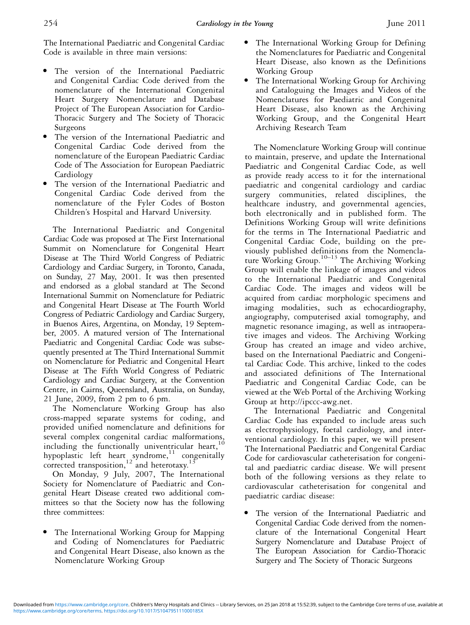The International Paediatric and Congenital Cardiac Code is available in three main versions:

- The version of the International Paediatric and Congenital Cardiac Code derived from the nomenclature of the International Congenital Heart Surgery Nomenclature and Database Project of The European Association for Cardio-Thoracic Surgery and The Society of Thoracic Surgeons
- The version of the International Paediatric and Congenital Cardiac Code derived from the nomenclature of the European Paediatric Cardiac Code of The Association for European Paediatric Cardiology
- The version of the International Paediatric and Congenital Cardiac Code derived from the nomenclature of the Fyler Codes of Boston Children's Hospital and Harvard University.

The International Paediatric and Congenital Cardiac Code was proposed at The First International Summit on Nomenclature for Congenital Heart Disease at The Third World Congress of Pediatric Cardiology and Cardiac Surgery, in Toronto, Canada, on Sunday, 27 May, 2001. It was then presented and endorsed as a global standard at The Second International Summit on Nomenclature for Pediatric and Congenital Heart Disease at The Fourth World Congress of Pediatric Cardiology and Cardiac Surgery, in Buenos Aires, Argentina, on Monday, 19 September, 2005. A matured version of The International Paediatric and Congenital Cardiac Code was subsequently presented at The Third International Summit on Nomenclature for Pediatric and Congenital Heart Disease at The Fifth World Congress of Pediatric Cardiology and Cardiac Surgery, at the Convention Centre, in Cairns, Queensland, Australia, on Sunday, 21 June, 2009, from 2 pm to 6 pm.

The Nomenclature Working Group has also cross-mapped separate systems for coding, and provided unified nomenclature and definitions for several complex congenital cardiac malformations, including the functionally univentricular heart,  $10$ hypoplastic left heart syndrome,<sup>11</sup> congenitally corrected transposition,  $12$  and heterotaxy.<sup>13</sup>

On Monday, 9 July, 2007, The International Society for Nomenclature of Paediatric and Congenital Heart Disease created two additional committees so that the Society now has the following three committees:

The International Working Group for Mapping and Coding of Nomenclatures for Paediatric and Congenital Heart Disease, also known as the Nomenclature Working Group

- The International Working Group for Defining the Nomenclatures for Paediatric and Congenital Heart Disease, also known as the Definitions Working Group
- <sup>&</sup>gt; The International Working Group for Archiving and Cataloguing the Images and Videos of the Nomenclatures for Paediatric and Congenital Heart Disease, also known as the Archiving Working Group, and the Congenital Heart Archiving Research Team

The Nomenclature Working Group will continue to maintain, preserve, and update the International Paediatric and Congenital Cardiac Code, as well as provide ready access to it for the international paediatric and congenital cardiology and cardiac surgery communities, related disciplines, the healthcare industry, and governmental agencies, both electronically and in published form. The Definitions Working Group will write definitions for the terms in The International Paediatric and Congenital Cardiac Code, building on the previously published definitions from the Nomenclature Working Group.<sup>10–13</sup> The Archiving Working Group will enable the linkage of images and videos to the International Paediatric and Congenital Cardiac Code. The images and videos will be acquired from cardiac morphologic specimens and imaging modalities, such as echocardiography, angiography, computerised axial tomography, and magnetic resonance imaging, as well as intraoperative images and videos. The Archiving Working Group has created an image and video archive, based on the International Paediatric and Congenital Cardiac Code. This archive, linked to the codes and associated definitions of The International Paediatric and Congenital Cardiac Code, can be viewed at the Web Portal of the Archiving Working Group at http://ipccc-awg.net.

The International Paediatric and Congenital Cardiac Code has expanded to include areas such as electrophysiology, foetal cardiology, and interventional cardiology. In this paper, we will present The International Paediatric and Congenital Cardiac Code for cardiovascular catheterisation for congenital and paediatric cardiac disease. We will present both of the following versions as they relate to cardiovascular catheterisation for congenital and paediatric cardiac disease:

<sup>&</sup>gt; The version of the International Paediatric and Congenital Cardiac Code derived from the nomenclature of the International Congenital Heart Surgery Nomenclature and Database Project of The European Association for Cardio-Thoracic Surgery and The Society of Thoracic Surgeons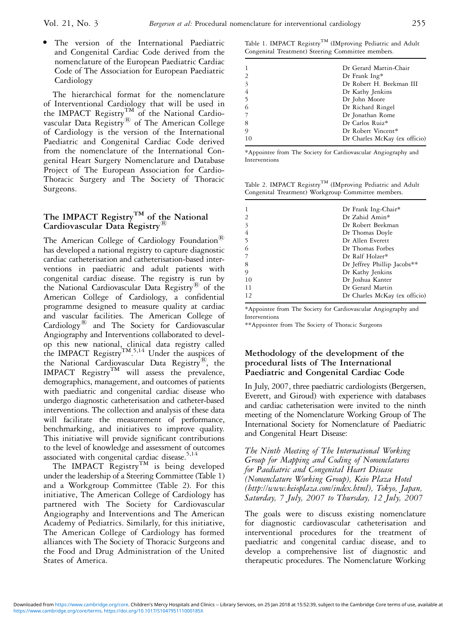The version of the International Paediatric and Congenital Cardiac Code derived from the nomenclature of the European Paediatric Cardiac Code of The Association for European Paediatric Cardiology

The hierarchical format for the nomenclature of Interventional Cardiology that will be used in the IMPACT Registry<sup>TM</sup> of the National Cardiovascular Data  $\text{Registry}^{\circledR}$  of The American College of Cardiology is the version of the International Paediatric and Congenital Cardiac Code derived from the nomenclature of the International Congenital Heart Surgery Nomenclature and Database Project of The European Association for Cardio-Thoracic Surgery and The Society of Thoracic Surgeons.

# The IMPACT Registry<sup>TM</sup> of the National Cardiovascular Data Registry<sup>®</sup>

The American College of Cardiology Foundation<sup>®</sup> has developed a national registry to capture diagnostic cardiac catheterisation and catheterisation-based interventions in paediatric and adult patients with congenital cardiac disease. The registry is run by the National Cardiovascular Data Registry $\overset{\text{\tiny{(B)}}}{\circ}$  of the American College of Cardiology, a confidential programme designed to measure quality at cardiac and vascular facilities. The American College of Cardiology<sup>®</sup> and The Society for Cardiovascular Angiography and Interventions collaborated to develop this new national, clinical data registry called the IMPACT Registry<sup>TM 5,14</sup> Under the auspices of the National Cardiovascular Data Registry $^{\circledR}$ , the  $IMPACT$  Registry<sup>TM</sup> will assess the prevalence, demographics, management, and outcomes of patients with paediatric and congenital cardiac disease who undergo diagnostic catheterisation and catheter-based interventions. The collection and analysis of these data will facilitate the measurement of performance, benchmarking, and initiatives to improve quality. This initiative will provide significant contributions to the level of knowledge and assessment of outcomes associated with congenital cardiac disease.<sup>5,14</sup>

The IMPACT  $\overset{\circ}{\text{Registry}}^{\text{TM}}$  is being developed under the leadership of a Steering Committee (Table 1) and a Workgroup Committee (Table 2). For this initiative, The American College of Cardiology has partnered with The Society for Cardiovascular Angiography and Interventions and The American Academy of Pediatrics. Similarly, for this initiative, The American College of Cardiology has formed alliances with The Society of Thoracic Surgeons and the Food and Drug Administration of the United States of America.

Table 1. IMPACT Registry<sup>TM</sup> (IMproving Pediatric and Adult Congenital Treatment) Steering Committee members.

| 1                       | Dr Gerard Martin-Chair        |
|-------------------------|-------------------------------|
| 2                       | Dr Frank Ing*                 |
| $\overline{\mathbf{3}}$ | Dr Robert H. Beekman III      |
| $\overline{4}$          | Dr Kathy Jenkins              |
| 5                       | Dr John Moore                 |
| 6                       | Dr Richard Ringel             |
| 7                       | Dr Jonathan Rome              |
| 8                       | Dr Carlos Ruiz*               |
| 9                       | Dr Robert Vincent*            |
| 10                      | Dr Charles McKay (ex officio) |
|                         |                               |

\*Appointee from The Society for Cardiovascular Angiography and Interventions

Table 2. IMPACT Registry<sup>TM</sup> (IMproving Pediatric and Adult Congenital Treatment) Workgroup Committee members.

|                | Dr Frank Ing-Chair*           |
|----------------|-------------------------------|
| $\overline{2}$ | Dr Zahid Amin*                |
| 3              | Dr Robert Beekman             |
|                | Dr Thomas Doyle               |
| 5              | Dr Allen Everett              |
|                | Dr Thomas Forbes              |
|                | Dr Ralf Holzer*               |
| 8              | Dr Jeffrey Phillip Jacobs**   |
| 9              | Dr Kathy Jenkins              |
| 10             | Dr Joshua Kanter              |
| 11             | Dr Gerard Martin              |
| 12             | Dr Charles McKay (ex officio) |
|                |                               |

\*Appointee from The Society for Cardiovascular Angiography and Interventions

\*\*Appointee from The Society of Thoracic Surgeons

### Methodology of the development of the procedural lists of The International Paediatric and Congenital Cardiac Code

In July, 2007, three paediatric cardiologists (Bergersen, Everett, and Giroud) with experience with databases and cardiac catheterisation were invited to the ninth meeting of the Nomenclature Working Group of The International Society for Nomenclature of Paediatric and Congenital Heart Disease:

The Ninth Meeting of The International Working Group for Mapping and Coding of Nomenclatures for Paediatric and Congenital Heart Disease (Nomenclature Working Group), Keio Plaza Hotel (http://www.keioplaza.com/index.html), Tokyo, Japan, Saturday, 7 July, 2007 to Thursday, 12 July, 2007

The goals were to discuss existing nomenclature for diagnostic cardiovascular catheterisation and interventional procedures for the treatment of paediatric and congenital cardiac disease, and to develop a comprehensive list of diagnostic and therapeutic procedures. The Nomenclature Working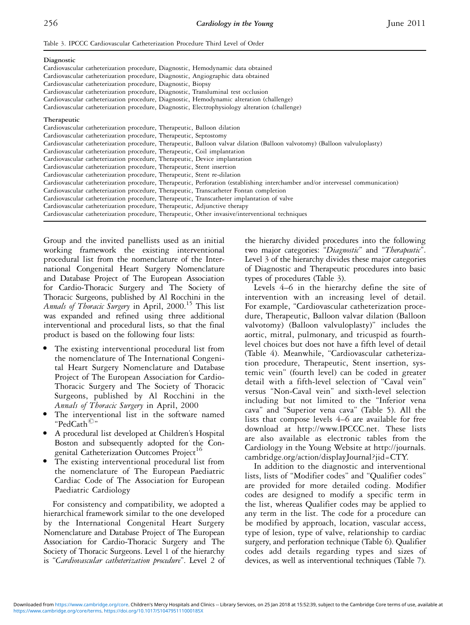Table 3. IPCCC Cardiovascular Catheterization Procedure Third Level of Order

| Diagnostic                                                                                                                      |
|---------------------------------------------------------------------------------------------------------------------------------|
| Cardiovascular catheterization procedure, Diagnostic, Hemodynamic data obtained                                                 |
| Cardiovascular catheterization procedure, Diagnostic, Angiographic data obtained                                                |
| Cardiovascular catheterization procedure, Diagnostic, Biopsy                                                                    |
| Cardiovascular catheterization procedure, Diagnostic, Transluminal test occlusion                                               |
| Cardiovascular catheterization procedure, Diagnostic, Hemodynamic alteration (challenge)                                        |
| Cardiovascular catheterization procedure, Diagnostic, Electrophysiology alteration (challenge)                                  |
| Therapeutic                                                                                                                     |
| Cardiovascular catheterization procedure, Therapeutic, Balloon dilation                                                         |
| Cardiovascular catheterization procedure, Therapeutic, Septostomy                                                               |
| Cardiovascular catheterization procedure, Therapeutic, Balloon valvar dilation (Balloon valvotomy) (Balloon valvuloplasty)      |
| Cardiovascular catheterization procedure, Therapeutic, Coil implantation                                                        |
| Cardiovascular catheterization procedure, Therapeutic, Device implantation                                                      |
| Cardiovascular catheterization procedure, Therapeutic, Stent insertion                                                          |
| Cardiovascular catheterization procedure, Therapeutic, Stent re-dilation                                                        |
| Cardiovascular catheterization procedure, Therapeutic, Perforation (establishing interchamber and/or intervessel communication) |
| Cardiovascular catheterization procedure, Therapeutic, Transcatheter Fontan completion                                          |
| Cardiovascular catheterization procedure, Therapeutic, Transcatheter implantation of valve                                      |
| Cardiovascular catheterization procedure, Therapeutic, Adjunctive therapy                                                       |
| Cardiovascular catheterization procedure, Therapeutic, Other invasive/interventional techniques                                 |
|                                                                                                                                 |

Group and the invited panellists used as an initial working framework the existing interventional procedural list from the nomenclature of the International Congenital Heart Surgery Nomenclature and Database Project of The European Association for Cardio-Thoracic Surgery and The Society of Thoracic Surgeons, published by Al Rocchini in the Annals of Thoracic Surgery in April, 2000.<sup>15</sup> This list was expanded and refined using three additional interventional and procedural lists, so that the final product is based on the following four lists:

- The existing interventional procedural list from the nomenclature of The International Congenital Heart Surgery Nomenclature and Database Project of The European Association for Cardio-Thoracic Surgery and The Society of Thoracic Surgeons, published by Al Rocchini in the Annals of Thoracic Surgery in April, 2000
- The interventional list in the software named "PedCath<sup>©"</sup>
- A procedural list developed at Children's Hospital Boston and subsequently adopted for the Congenital Catheterization Outcomes Project<sup>16</sup>
- The existing interventional procedural list from the nomenclature of The European Paediatric Cardiac Code of The Association for European Paediatric Cardiology

For consistency and compatibility, we adopted a hierarchical framework similar to the one developed by the International Congenital Heart Surgery Nomenclature and Database Project of The European Association for Cardio-Thoracic Surgery and The Society of Thoracic Surgeons. Level 1 of the hierarchy is "Cardiovascular catheterization procedure". Level 2 of the hierarchy divided procedures into the following two major categories: "Diagnostic" and "Therapeutic". Level 3 of the hierarchy divides these major categories of Diagnostic and Therapeutic procedures into basic types of procedures (Table 3).

Levels 4–6 in the hierarchy define the site of intervention with an increasing level of detail. For example, "Cardiovascular catheterization procedure, Therapeutic, Balloon valvar dilation (Balloon valvotomy) (Balloon valvuloplasty)'' includes the aortic, mitral, pulmonary, and tricuspid as fourthlevel choices but does not have a fifth level of detail (Table 4). Meanwhile, "Cardiovascular catheterization procedure, Therapeutic, Stent insertion, systemic vein'' (fourth level) can be coded in greater detail with a fifth-level selection of ''Caval vein'' versus ''Non-Caval vein'' and sixth-level selection including but not limited to the ''Inferior vena cava'' and ''Superior vena cava'' (Table 5). All the lists that compose levels 4–6 are available for free download at http://www.IPCCC.net. These lists are also available as electronic tables from the Cardiology in the Young Website at http://journals. cambridge.org/action/displayJournal?jid=CTY.

In addition to the diagnostic and interventional lists, lists of ''Modifier codes'' and ''Qualifier codes'' are provided for more detailed coding. Modifier codes are designed to modify a specific term in the list, whereas Qualifier codes may be applied to any term in the list. The code for a procedure can be modified by approach, location, vascular access, type of lesion, type of valve, relationship to cardiac surgery, and perforation technique (Table 6). Qualifier codes add details regarding types and sizes of devices, as well as interventional techniques (Table 7).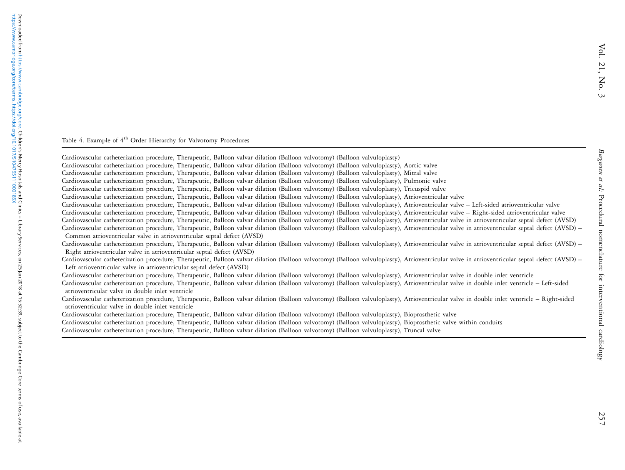Bergersen et al:

Procedural nomenclature for interventional cardiology

Bergersen et al: Procedural nomenclature for interventional cardiology

### Table 4. Example of 4<sup>th</sup> Order Hierarchy for Valvotomy Procedures

Cardiovascular catheterization procedure, Therapeutic, Balloon valvar dilation (Balloon valvotomy) (Balloon valvuloplasty) Cardiovascular catheterization procedure, Therapeutic, Balloon valvar dilation (Balloon valvotomy) (Balloon valvuloplasty), Aortic valve Cardiovascular catheterization procedure, Therapeutic, Balloon valvar dilation (Balloon valvotomy) (Balloon valvuloplasty), Mitral valve Cardiovascular catheterization procedure, Therapeutic, Balloon valvar dilation (Balloon valvotomy) (Balloon valvuloplasty), Pulmonic valve Cardiovascular catheterization procedure, Therapeutic, Balloon valvar dilation (Balloon valvotomy) (Balloon valvuloplasty), Tricuspid valve Cardiovascular catheterization procedure, Therapeutic, Balloon valvar dilation (Balloon valvotomy) (Balloon valvuloplasty), Atrioventricular valve Cardiovascular catheterization procedure, Therapeutic, Balloon valvar dilation (Balloon valvotomy) (Balloon valvuloplasty), Atrioventricular valve – Left-sided atrioventricular valve Cardiovascular catheterization procedure, Therapeutic, Balloon valvar dilation (Balloon valvotomy) (Balloon valvuloplasty), Atrioventricular valve – Right-sided atrioventricular valve Cardiovascular catheterization procedure, Therapeutic, Balloon valvar dilation (Balloon valvotomy) (Balloon valvuloplasty), Atrioventricular valve in atrioventricular septal defect (AVSD) Cardiovascular catheterization procedure, Therapeutic, Balloon valvar dilation (Balloon valvotomy) (Balloon valvuloplasty), Atrioventricular valve in atrioventricular septal defect (AVSD) – Common atrioventricular valve in atrioventricular septal defect (AVSD) Cardiovascular catheterization procedure, Therapeutic, Balloon valvar dilation (Balloon valvotomy) (Balloon valvuloplasty), Atrioventricular valve in atrioventricular septal defect (AVSD) – Right atrioventricular valve in atrioventricular septal defect (AVSD) Cardiovascular catheterization procedure, Therapeutic, Balloon valvar dilation (Balloon valvotomy) (Balloon valvuloplasty), Atrioventricular valve in atrioventricular septal defect (AVSD) – Left atrioventricular valve in atrioventricular septal defect (AVSD) Cardiovascular catheterization procedure, Therapeutic, Balloon valvar dilation (Balloon valvotomy) (Balloon valvuloplasty), Atrioventricular valve in double inlet ventricle Cardiovascular catheterization procedure, Therapeutic, Balloon valvar dilation (Balloon valvotomy) (Balloon valvuloplasty), Atrioventricular valve in double inlet ventricle – Left-sided atrioventricular valve in double inlet ventricle Cardiovascular catheterization procedure, Therapeutic, Balloon valvar dilation (Balloon valvotomy) (Balloon valvuloplasty), Atrioventricular valve in double inlet ventricle – Right-sided atrioventricular valve in double inlet ventricleCardiovascular catheterization procedure, Therapeutic, Balloon valvar dilation (Balloon valvotomy) (Balloon valvuloplasty), Bioprosthetic valve Cardiovascular catheterization procedure, Therapeutic, Balloon valvar dilation (Balloon valvotomy) (Balloon valvuloplasty), Bioprosthetic valve within conduits Cardiovascular catheterization procedure, Therapeutic, Balloon valvar dilation (Balloon valvotomy) (Balloon valvuloplasty), Truncal valve

ä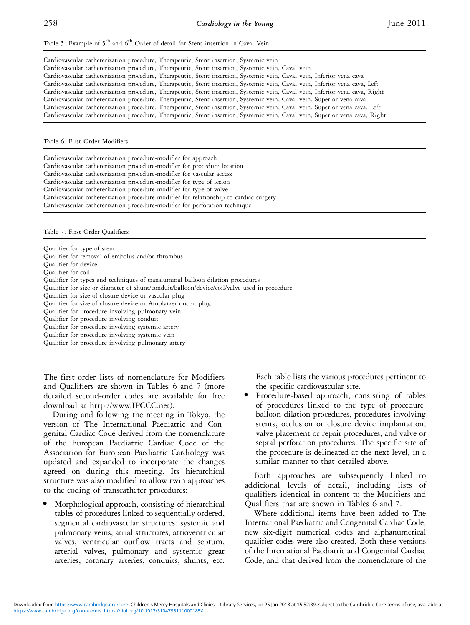Table 5. Example of  $5<sup>th</sup>$  and  $6<sup>th</sup>$  Order of detail for Stent insertion in Caval Vein

| Cardiovascular catheterization procedure, Therapeutic, Stent insertion, Systemic vein                                        |  |
|------------------------------------------------------------------------------------------------------------------------------|--|
| Cardiovascular catheterization procedure, Therapeutic, Stent insertion, Systemic vein, Caval vein                            |  |
| Cardiovascular catheterization procedure, Therapeutic, Stent insertion, Systemic vein, Caval vein, Inferior vena cava        |  |
| Cardiovascular catheterization procedure, Therapeutic, Stent insertion, Systemic vein, Caval vein, Inferior vena cava, Left  |  |
| Cardiovascular catheterization procedure, Therapeutic, Stent insertion, Systemic vein, Caval vein, Inferior vena cava, Right |  |
| Cardiovascular catheterization procedure, Therapeutic, Stent insertion, Systemic vein, Caval vein, Superior vena cava        |  |
| Cardiovascular catheterization procedure, Therapeutic, Stent insertion, Systemic vein, Caval vein, Superior vena cava, Left  |  |
| Cardiovascular catheterization procedure, Therapeutic, Stent insertion, Systemic vein, Caval vein, Superior vena cava, Right |  |

Table 6. First Order Modifiers

Cardiovascular catheterization procedure-modifier for approach Cardiovascular catheterization procedure-modifier for procedure location Cardiovascular catheterization procedure-modifier for vascular access Cardiovascular catheterization procedure-modifier for type of lesion Cardiovascular catheterization procedure-modifier for type of valve Cardiovascular catheterization procedure-modifier for relationship to cardiac surgery Cardiovascular catheterization procedure-modifier for perforation technique

Table 7. First Order Qualifiers

| Qualifier for type of stent                                                                 |
|---------------------------------------------------------------------------------------------|
| Qualifier for removal of embolus and/or thrombus                                            |
| Qualifier for device                                                                        |
| Qualifier for coil                                                                          |
| Qualifier for types and techniques of transluminal balloon dilation procedures              |
| Qualifier for size or diameter of shunt/conduit/balloon/device/coil/valve used in procedure |
| Qualifier for size of closure device or vascular plug                                       |
| Qualifier for size of closure device or Amplatzer ductal plug                               |
| Qualifier for procedure involving pulmonary vein                                            |
| Qualifier for procedure involving conduit                                                   |
| Qualifier for procedure involving systemic artery                                           |
| Qualifier for procedure involving systemic vein                                             |
| Qualifier for procedure involving pulmonary artery                                          |

The first-order lists of nomenclature for Modifiers and Qualifiers are shown in Tables 6 and 7 (more detailed second-order codes are available for free download at http://www.IPCCC.net).

During and following the meeting in Tokyo, the version of The International Paediatric and Congenital Cardiac Code derived from the nomenclature of the European Paediatric Cardiac Code of the Association for European Paediatric Cardiology was updated and expanded to incorporate the changes agreed on during this meeting. Its hierarchical structure was also modified to allow twin approaches to the coding of transcatheter procedures:

<sup>&</sup>gt; Morphological approach, consisting of hierarchical tables of procedures linked to sequentially ordered, segmental cardiovascular structures: systemic and pulmonary veins, atrial structures, atrioventricular valves, ventricular outflow tracts and septum, arterial valves, pulmonary and systemic great arteries, coronary arteries, conduits, shunts, etc. Each table lists the various procedures pertinent to the specific cardiovascular site.

Procedure-based approach, consisting of tables of procedures linked to the type of procedure: balloon dilation procedures, procedures involving stents, occlusion or closure device implantation, valve placement or repair procedures, and valve or septal perforation procedures. The specific site of the procedure is delineated at the next level, in a similar manner to that detailed above.

Both approaches are subsequently linked to additional levels of detail, including lists of qualifiers identical in content to the Modifiers and Qualifiers that are shown in Tables 6 and 7.

Where additional items have been added to The International Paediatric and Congenital Cardiac Code, new six-digit numerical codes and alphanumerical qualifier codes were also created. Both these versions of the International Paediatric and Congenital Cardiac Code, and that derived from the nomenclature of the